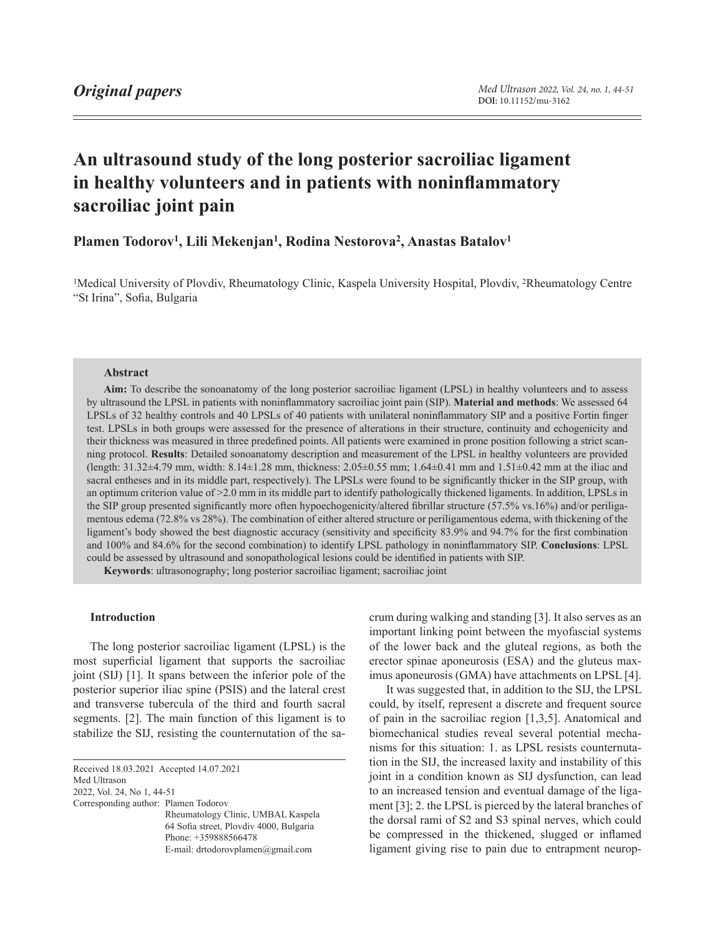# **An ultrasound study of the long posterior sacroiliac ligament in healthy volunteers and in patients with noninflammatory sacroiliac joint pain**

# Plamen Todorov<sup>1</sup>, Lili Mekenjan<sup>1</sup>, Rodina Nestorova<sup>2</sup>, Anastas Batalov<sup>1</sup>

1Medical University of Plovdiv, Rheumatology Clinic, Kaspela University Hospital, Plovdiv, 2Rheumatology Centre "St Irina", Sofia, Bulgaria

### **Abstract**

**Aim:** To describe the sonoanatomy of the long posterior sacroiliac ligament (LPSL) in healthy volunteers and to assess by ultrasound the LPSL in patients with noninflammatory sacroiliac joint pain (SIP). **Material and methods**: We assessed 64 LPSLs of 32 healthy controls and 40 LPSLs of 40 patients with unilateral noninflammatory SIP and a positive Fortin finger test. LPSLs in both groups were assessed for the presence of alterations in their structure, continuity and echogenicity and their thickness was measured in three predefined points. All patients were examined in prone position following a strict scanning protocol. **Results**: Detailed sonoanatomy description and measurement of the LPSL in healthy volunteers are provided (length: 31.32±4.79 mm, width: 8.14±1.28 mm, thickness: 2.05±0.55 mm; 1.64±0.41 mm and 1.51±0.42 mm at the iliac and sacral entheses and in its middle part, respectively). The LPSLs were found to be significantly thicker in the SIP group, with an optimum criterion value of  $>2.0$  mm in its middle part to identify pathologically thickened ligaments. In addition, LPSLs in the SIP group presented significantly more often hypoechogenicity/altered fibrillar structure (57.5% vs.16%) and/or periligamentous edema (72.8% vs 28%). The combination of either altered structure or periligamentous edema, with thickening of the ligament's body showed the best diagnostic accuracy (sensitivity and specificity 83.9% and 94.7% for the first combination and 100% and 84.6% for the second combination) to identify LPSL pathology in noninflammatory SIP. **Conclusions**: LPSL could be assessed by ultrasound and sonopathological lesions could be identified in patients with SIP.

**Keywords**: ultrasonography; long posterior sacroiliac ligament; sacroiliac joint

### **Introduction**

The long posterior sacroiliac ligament (LPSL) is the most superficial ligament that supports the sacroiliac joint (SIJ) [1]. It spans between the inferior pole of the posterior superior iliac spine (PSIS) and the lateral crest and transverse tubercula of the third and fourth sacral segments. [2]. The main function of this ligament is to stabilize the SIJ, resisting the counternutation of the sa-

<span id="page-0-0"></span>Received 18.03.2021 Accepted 14.07.2021

Med Ultrason

2022, Vol. 24, No 1, [44-](#page-0-0)51

Corresponding author: Plamen Todorov

Rheumatology Clinic, UMBAL Kaspela 64 Sofia street, Plovdiv 4000, Bulgaria Phone: +359888566478 E-mail: drtodorovplamen@gmail.com

crum during walking and standing [3]. It also serves as an important linking point between the myofascial systems of the lower back and the gluteal regions, as both the erector spinae aponeurosis (ESA) and the gluteus maximus aponeurosis (GMA) have attachments on LPSL [4].

It was suggested that, in addition to the SIJ, the LPSL could, by itself, represent a discrete and frequent source of pain in the sacroiliac region [1,3,5]. Anatomical and biomechanical studies reveal several potential mechanisms for this situation: 1. as LPSL resists counternutation in the SIJ, the increased laxity and instability of this joint in a condition known as SIJ dysfunction, can lead to an increased tension and eventual damage of the ligament [3]; 2. the LPSL is pierced by the lateral branches of the dorsal rami of S2 and S3 spinal nerves, which could be compressed in the thickened, slugged or inflamed ligament giving rise to pain due to entrapment neurop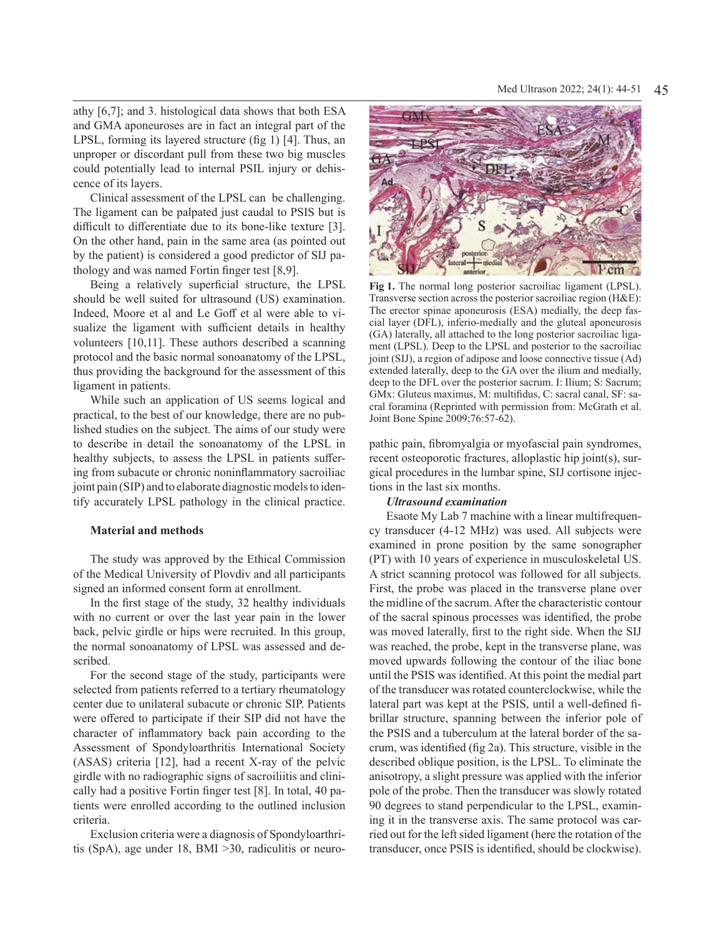athy [6,7]; and 3. histological data shows that both ESA and GMA aponeuroses are in fact an integral part of the LPSL, forming its layered structure (fig 1) [4]. Thus, an unproper or discordant pull from these two big muscles could potentially lead to internal PSIL injury or dehiscence of its layers.

Clinical assessment of the LPSL can be challenging. The ligament can be palpated just caudal to PSIS but is difficult to differentiate due to its bone-like texture [3]. On the other hand, pain in the same area (as pointed out by the patient) is considered a good predictor of SIJ pathology and was named Fortin finger test [8,9].

Being a relatively superficial structure, the LPSL should be well suited for ultrasound (US) examination. Indeed, Moore et al and Le Goff et al were able to visualize the ligament with sufficient details in healthy volunteers [10,11]. These authors described a scanning protocol and the basic normal sonoanatomy of the LPSL, thus providing the background for the assessment of this ligament in patients.

While such an application of US seems logical and practical, to the best of our knowledge, there are no published studies on the subject. The aims of our study were to describe in detail the sonoanatomy of the LPSL in healthy subjects, to assess the LPSL in patients suffering from subacute or chronic noninflammatory sacroiliac joint pain (SIP) and to elaborate diagnostic models to identify accurately LPSL pathology in the clinical practice.

#### **Material and methods**

The study was approved by the Ethical Commission of the Medical University of Plovdiv and all participants signed an informed consent form at enrollment.

In the first stage of the study, 32 healthy individuals with no current or over the last year pain in the lower back, pelvic girdle or hips were recruited. In this group, the normal sonoanatomy of LPSL was assessed and described.

For the second stage of the study, participants were selected from patients referred to a tertiary rheumatology center due to unilateral subacute or chronic SIP. Patients were offered to participate if their SIP did not have the character of inflammatory back pain according to the Assessment of Spondyloarthritis International Society (ASAS) criteria [12], had a recent X-ray of the pelvic girdle with no radiographic signs of sacroiliitis and clinically had a positive Fortin finger test [8]. In total, 40 patients were enrolled according to the outlined inclusion criteria.

Exclusion criteria were a diagnosis of Spondyloarthritis (SpA), age under 18, BMI ˃30, radiculitis or neuro-



**Fig 1.** The normal long posterior sacroiliac ligament (LPSL). Transverse section across the posterior sacroiliac region (H&E): The erector spinae aponeurosis (ESA) medially, the deep fascial layer (DFL), inferio-medially and the gluteal aponeurosis (GA) laterally, all attached to the long posterior sacroiliac ligament (LPSL). Deep to the LPSL and posterior to the sacroiliac joint (SIJ), a region of adipose and loose connective tissue (Ad) extended laterally, deep to the GA over the ilium and medially, deep to the DFL over the posterior sacrum. I: Ilium; S: Sacrum; GMx: Gluteus maximus, M: multifidus, C: sacral canal, SF: sacral foramina (Reprinted with permission from: McGrath et al. Joint Bone Spine 2009;76:57-62).

pathic pain, fibromyalgia or myofascial pain syndromes, recent osteoporotic fractures, alloplastic hip joint(s), surgical procedures in the lumbar spine, SIJ cortisone injections in the last six months.

## *Ultrasound examination*

Esaote My Lab 7 machine with a linear multifrequency transducer (4-12 MHz) was used. All subjects were examined in prone position by the same sonographer (PT) with 10 years of experience in musculoskeletal US. A strict scanning protocol was followed for all subjects. First, the probe was placed in the transverse plane over the midline of the sacrum. After the characteristic contour of the sacral spinous processes was identified, the probe was moved laterally, first to the right side. When the SIJ was reached, the probe, kept in the transverse plane, was moved upwards following the contour of the iliac bone until the PSIS was identified. At this point the medial part of the transducer was rotated counterclockwise, while the lateral part was kept at the PSIS, until a well-defined fibrillar structure, spanning between the inferior pole of the PSIS and a tuberculum at the lateral border of the sacrum, was identified (fig 2a). This structure, visible in the described oblique position, is the LPSL. To eliminate the anisotropy, a slight pressure was applied with the inferior pole of the probe. Then the transducer was slowly rotated 90 degrees to stand perpendicular to the LPSL, examining it in the transverse axis. The same protocol was carried out for the left sided ligament (here the rotation of the transducer, once PSIS is identified, should be clockwise).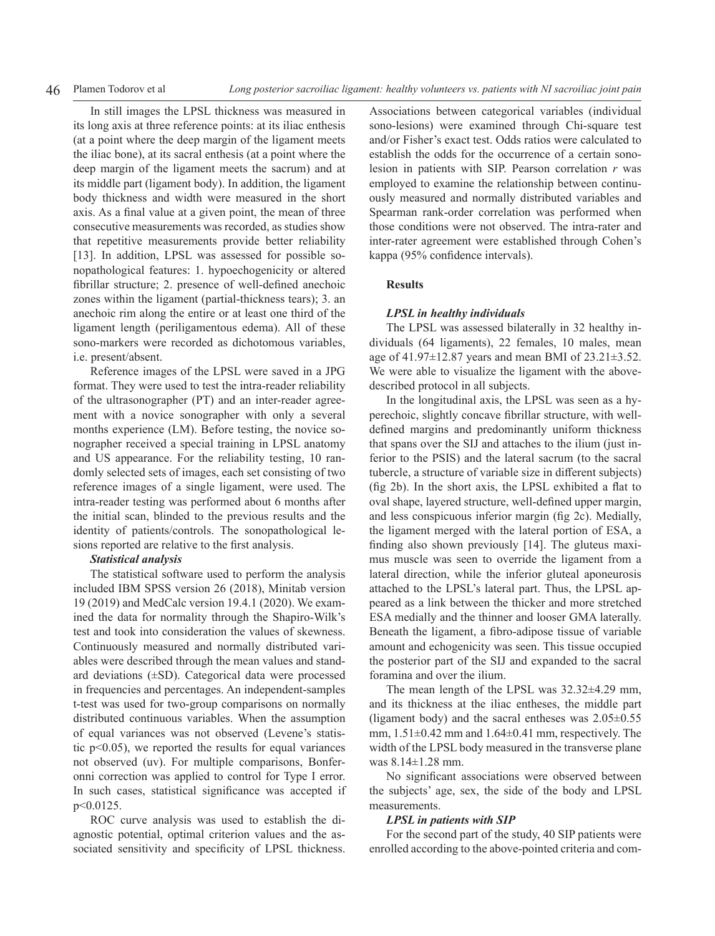In still images the LPSL thickness was measured in its long axis at three reference points: at its iliac enthesis (at a point where the deep margin of the ligament meets the iliac bone), at its sacral enthesis (at a point where the deep margin of the ligament meets the sacrum) and at its middle part (ligament body). In addition, the ligament body thickness and width were measured in the short axis. As a final value at a given point, the mean of three consecutive measurements was recorded, as studies show that repetitive measurements provide better reliability [13]. In addition, LPSL was assessed for possible sonopathological features: 1. hypoechogenicity or altered fibrillar structure; 2. presence of well-defined anechoic zones within the ligament (partial-thickness tears); 3. an anechoic rim along the entire or at least one third of the ligament length (periligamentous edema). All of these sono-markers were recorded as dichotomous variables, i.e. present/absent.

Reference images of the LPSL were saved in a JPG format. They were used to test the intra-reader reliability of the ultrasonographer (PT) and an inter-reader agreement with a novice sonographer with only a several months experience (LM). Before testing, the novice sonographer received a special training in LPSL anatomy and US appearance. For the reliability testing, 10 randomly selected sets of images, each set consisting of two reference images of a single ligament, were used. The intra-reader testing was performed about 6 months after the initial scan, blinded to the previous results and the identity of patients/controls. The sonopathological lesions reported are relative to the first analysis.

#### *Statistical analysis*

The statistical software used to perform the analysis included IBM SPSS version 26 (2018), Minitab version 19 (2019) and MedCalc version 19.4.1 (2020). We examined the data for normality through the Shapiro-Wilk's test and took into consideration the values of skewness. Continuously measured and normally distributed variables were described through the mean values and standard deviations (±SD). Categorical data were processed in frequencies and percentages. An independent-samples t-test was used for two-group comparisons on normally distributed continuous variables. When the assumption of equal variances was not observed (Levene's statistic p<0.05), we reported the results for equal variances not observed (uv). For multiple comparisons, Bonferonni correction was applied to control for Type I error. In such cases, statistical significance was accepted if p<0.0125.

ROC curve analysis was used to establish the diagnostic potential, optimal criterion values and the associated sensitivity and specificity of LPSL thickness. Associations between categorical variables (individual sono-lesions) were examined through Chi-square test and/or Fisher's exact test. Odds ratios were calculated to establish the odds for the occurrence of a certain sonolesion in patients with SIP. Pearson correlation *r* was employed to examine the relationship between continuously measured and normally distributed variables and Spearman rank-order correlation was performed when those conditions were not observed. The intra-rater and inter-rater agreement were established through Cohen's kappa (95% confidence intervals).

# **Results**

#### *LPSL in healthy individuals*

The LPSL was assessed bilaterally in 32 healthy individuals (64 ligaments), 22 females, 10 males, mean age of 41.97±12.87 years and mean BMI of 23.21±3.52. We were able to visualize the ligament with the abovedescribed protocol in all subjects.

In the longitudinal axis, the LPSL was seen as a hyperechoic, slightly concave fibrillar structure, with welldefined margins and predominantly uniform thickness that spans over the SIJ and attaches to the ilium (just inferior to the PSIS) and the lateral sacrum (to the sacral tubercle, a structure of variable size in different subjects) (fig 2b). In the short axis, the LPSL exhibited a flat to oval shape, layered structure, well-defined upper margin, and less conspicuous inferior margin (fig 2c). Medially, the ligament merged with the lateral portion of ESA, a finding also shown previously [14]. The gluteus maximus muscle was seen to override the ligament from a lateral direction, while the inferior gluteal aponeurosis attached to the LPSL's lateral part. Thus, the LPSL appeared as a link between the thicker and more stretched ESA medially and the thinner and looser GMA laterally. Beneath the ligament, a fibro-adipose tissue of variable amount and echogenicity was seen. This tissue occupied the posterior part of the SIJ and expanded to the sacral foramina and over the ilium.

The mean length of the LPSL was 32.32±4.29 mm, and its thickness at the iliac entheses, the middle part (ligament body) and the sacral entheses was  $2.05\pm0.55$ mm,  $1.51\pm0.42$  mm and  $1.64\pm0.41$  mm, respectively. The width of the LPSL body measured in the transverse plane was 8.14±1.28 mm.

No significant associations were observed between the subjects' age, sex, the side of the body and LPSL measurements.

#### *LPSL in patients with SIP*

For the second part of the study, 40 SIP patients were enrolled according to the above-pointed criteria and com-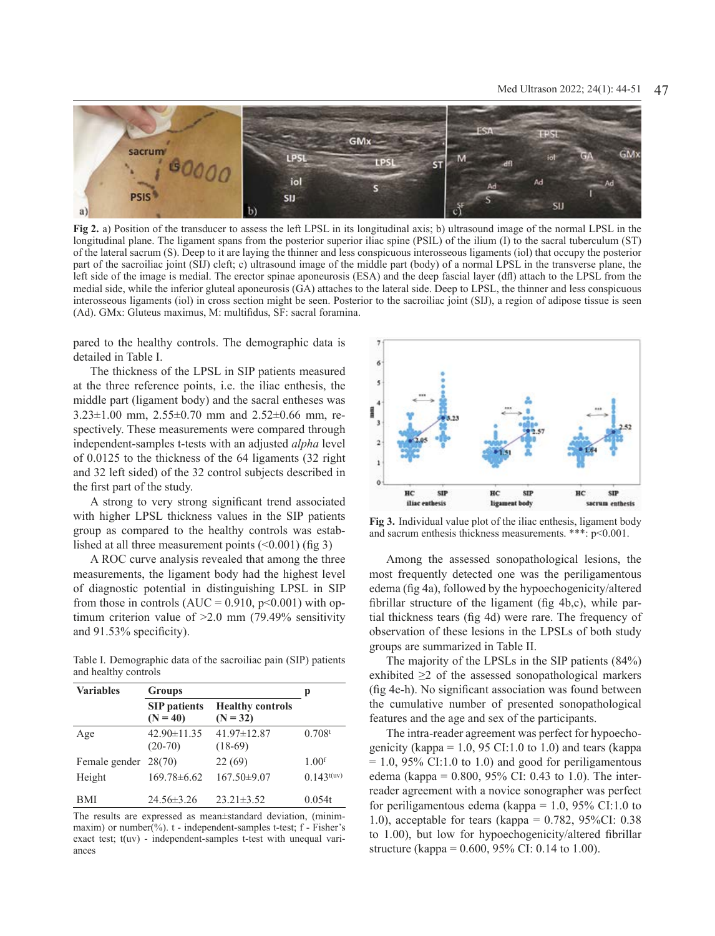

**Fig 2.** a) Position of the transducer to assess the left LPSL in its longitudinal axis; b) ultrasound image of the normal LPSL in the longitudinal plane. The ligament spans from the posterior superior iliac spine (PSIL) of the ilium (I) to the sacral tuberculum (ST) of the lateral sacrum (S). Deep to it are laying the thinner and less conspicuous interosseous ligaments (iol) that occupy the posterior part of the sacroiliac joint (SIJ) cleft; c) ultrasound image of the middle part (body) of a normal LPSL in the transverse plane, the left side of the image is medial. The erector spinae aponeurosis (ESA) and the deep fascial layer (dfl) attach to the LPSL from the medial side, while the inferior gluteal aponeurosis (GA) attaches to the lateral side. Deep to LPSL, the thinner and less conspicuous interosseous ligaments (iol) in cross section might be seen. Posterior to the sacroiliac joint (SIJ), a region of adipose tissue is seen (Ad). GMx: Gluteus maximus, M: multifidus, SF: sacral foramina.

pared to the healthy controls. The demographic data is detailed in Table I.

The thickness of the LPSL in SIP patients measured at the three reference points, i.e. the iliac enthesis, the middle part (ligament body) and the sacral entheses was  $3.23\pm1.00$  mm,  $2.55\pm0.70$  mm and  $2.52\pm0.66$  mm, respectively. These measurements were compared through independent-samples t-tests with an adjusted *alpha* level of 0.0125 to the thickness of the 64 ligaments (32 right and 32 left sided) of the 32 control subjects described in the first part of the study.

A strong to very strong significant trend associated with higher LPSL thickness values in the SIP patients group as compared to the healthy controls was established at all three measurement points  $(\leq 0.001)$  (fig 3)

A ROC curve analysis revealed that among the three measurements, the ligament body had the highest level of diagnostic potential in distinguishing LPSL in SIP from those in controls  $(AUC = 0.910, p<0.001)$  with optimum criterion value of >2.0 mm (79.49% sensitivity and 91.53% specificity).

Table I. Demographic data of the sacroiliac pain (SIP) patients and healthy controls

| <b>Variables</b>     | <b>Groups</b>                     | р                                     |                    |
|----------------------|-----------------------------------|---------------------------------------|--------------------|
|                      | <b>SIP</b> patients<br>$(N = 40)$ | <b>Healthy controls</b><br>$(N = 32)$ |                    |
| Age                  | $42.90 \pm 11.35$<br>$(20-70)$    | 41.97±12.87<br>$(18-69)$              | 0.708 <sup>t</sup> |
| Female gender 28(70) |                                   | 22(69)                                | 1.00 <sup>f</sup>  |
| Height               | $169.78 \pm 6.62$                 | $167.50\pm9.07$                       | $0.143^{t(uv)}$    |
| BMI                  | $24.56 \pm 3.26$                  | $23.21 \pm 3.52$                      | 0.054t             |

The results are expressed as mean±standard deviation, (minimmaxim) or number(%). t - independent-samples t-test; f - Fisher's exact test; t(uv) - independent-samples t-test with unequal variances



**Fig 3.** Individual value plot of the iliac enthesis, ligament body and sacrum enthesis thickness measurements. \*\*\*: p<0.001.

Among the assessed sonopathological lesions, the most frequently detected one was the periligamentous edema (fig 4a), followed by the hypoechogenicity/altered fibrillar structure of the ligament (fig 4b,c), while partial thickness tears (fig 4d) were rare. The frequency of observation of these lesions in the LPSLs of both study groups are summarized in Table II.

The majority of the LPSLs in the SIP patients (84%) exhibited  $\geq 2$  of the assessed sonopathological markers (fig 4e-h). No significant association was found between the cumulative number of presented sonopathological features and the age and sex of the participants.

The intra-reader agreement was perfect for hypoechogenicity (kappa =  $1.0$ , 95 CI:1.0 to 1.0) and tears (kappa  $= 1.0, 95\%$  CI:1.0 to 1.0) and good for periligamentous edema (kappa =  $0.800, 95\%$  CI: 0.43 to 1.0). The interreader agreement with a novice sonographer was perfect for periligamentous edema (kappa =  $1.0$ , 95% CI:1.0 to 1.0), acceptable for tears (kappa =  $0.782$ , 95%CI: 0.38 to 1.00), but low for hypoechogenicity/altered fibrillar structure (kappa = 0.600, 95% CI: 0.14 to 1.00).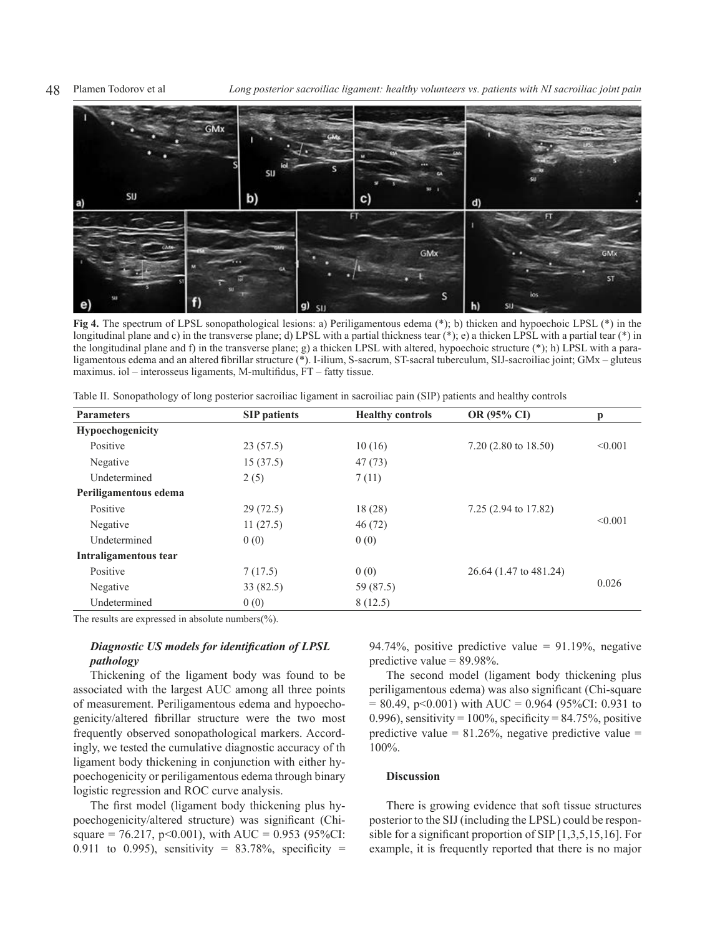48 Plamen Todorov et al *Long posterior sacroiliac ligament: healthy volunteers vs. patients with NI sacroiliac joint pain*



**Fig 4.** The spectrum of LPSL sonopathological lesions: a) Periligamentous edema (\*); b) thicken and hypoechoic LPSL (\*) in the longitudinal plane and c) in the transverse plane; d) LPSL with a partial thickness tear (\*); e) a thicken LPSL with a partial tear (\*) in the longitudinal plane and f) in the transverse plane; g) a thicken LPSL with altered, hypoechoic structure (\*); h) LPSL with a paraligamentous edema and an altered fibrillar structure (\*). I-ilium, S-sacrum, ST-sacral tuberculum, SIJ-sacroiliac joint; GMx – gluteus maximus. iol – interosseus ligaments, M-multifidus, FT – fatty tissue.

| <b>Parameters</b>     | <b>SIP</b> patients | <b>Healthy controls</b> | OR (95% CI)                    | p       |
|-----------------------|---------------------|-------------------------|--------------------------------|---------|
| Hypoechogenicity      |                     |                         |                                |         |
| Positive              | 23(57.5)            | 10(16)                  | $7.20(2.80 \text{ to } 18.50)$ | < 0.001 |
| Negative              | 15(37.5)            | 47(73)                  |                                |         |
| Undetermined          | 2(5)                | 7(11)                   |                                |         |
| Periligamentous edema |                     |                         |                                |         |
| Positive              | 29(72.5)            | 18 (28)                 | 7.25 (2.94 to 17.82)           |         |
| Negative              | 11(27.5)            | 46(72)                  |                                | < 0.001 |
| Undetermined          | 0(0)                | 0(0)                    |                                |         |
| Intraligamentous tear |                     |                         |                                |         |
| Positive              | 7(17.5)             | 0(0)                    | 26.64 (1.47 to 481.24)         |         |
| Negative              | 33(82.5)            | 59 (87.5)               |                                | 0.026   |
| Undetermined          | 0(0)                | 8(12.5)                 |                                |         |

Table II. Sonopathology of long posterior sacroiliac ligament in sacroiliac pain (SIP) patients and healthy controls

The results are expressed in absolute numbers(%).

# *Diagnostic US models for identification of LPSL pathology*

Thickening of the ligament body was found to be associated with the largest AUC among all three points of measurement. Periligamentous edema and hypoechogenicity/altered fibrillar structure were the two most frequently observed sonopathological markers. Accordingly, we tested the cumulative diagnostic accuracy of th ligament body thickening in conjunction with either hypoechogenicity or periligamentous edema through binary logistic regression and ROC curve analysis.

The first model (ligament body thickening plus hypoechogenicity/altered structure) was significant (Chisquare = 76.217, p<0.001), with AUC = 0.953 (95%CI: 0.911 to 0.995), sensitivity =  $83.78\%$ , specificity = 94.74%, positive predictive value =  $91.19\%$ , negative predictive value  $= 89.98\%$ .

The second model (ligament body thickening plus periligamentous edema) was also significant (Chi-square  $= 80.49$ , p<0.001) with AUC = 0.964 (95%CI: 0.931 to 0.996), sensitivity =  $100\%$ , specificity =  $84.75\%$ , positive predictive value =  $81.26\%$ , negative predictive value = 100%.

#### **Discussion**

There is growing evidence that soft tissue structures posterior to the SIJ (including the LPSL) could be responsible for a significant proportion of SIP [1,3,5,15,16]. For example, it is frequently reported that there is no major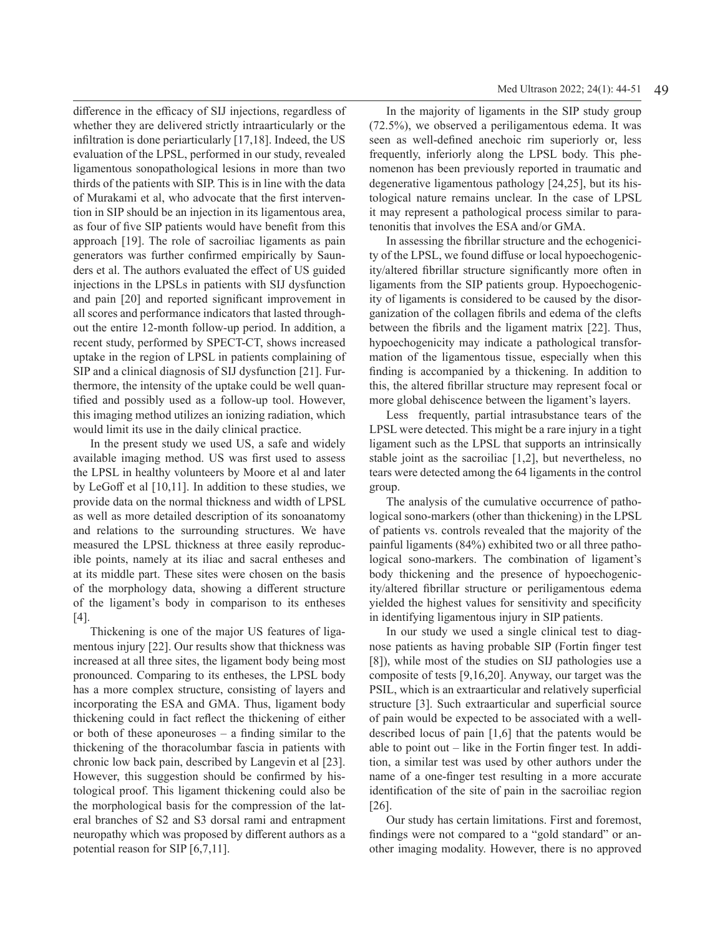difference in the efficacy of SIJ injections, regardless of whether they are delivered strictly intraarticularly or the infiltration is done periarticularly [17,18]. Indeed, the US evaluation of the LPSL, performed in our study, revealed ligamentous sonopathological lesions in more than two thirds of the patients with SIP. This is in line with the data of Murakami et al, who advocate that the first intervention in SIP should be an injection in its ligamentous area, as four of five SIP patients would have benefit from this approach [19]. The role of sacroiliac ligaments as pain generators was further confirmed empirically by Saunders et al. The authors evaluated the effect of US guided injections in the LPSLs in patients with SIJ dysfunction and pain [20] and reported significant improvement in all scores and performance indicators that lasted throughout the entire 12-month follow-up period. In addition, a recent study, performed by SPECT-CT, shows increased uptake in the region of LPSL in patients complaining of SIP and a clinical diagnosis of SIJ dysfunction [21]. Furthermore, the intensity of the uptake could be well quantified and possibly used as a follow-up tool. However, this imaging method utilizes an ionizing radiation, which would limit its use in the daily clinical practice.

In the present study we used US, a safe and widely available imaging method. US was first used to assess the LPSL in healthy volunteers by Moore et al and later by LeGoff et al [10,11]. In addition to these studies, we provide data on the normal thickness and width of LPSL as well as more detailed description of its sonoanatomy and relations to the surrounding structures. We have measured the LPSL thickness at three easily reproducible points, namely at its iliac and sacral entheses and at its middle part. These sites were chosen on the basis of the morphology data, showing a different structure of the ligament's body in comparison to its entheses [4].

Thickening is one of the major US features of ligamentous injury [22]. Our results show that thickness was increased at all three sites, the ligament body being most pronounced. Comparing to its entheses, the LPSL body has a more complex structure, consisting of layers and incorporating the ESA and GMA. Thus, ligament body thickening could in fact reflect the thickening of either or both of these aponeuroses – a finding similar to the thickening of the thoracolumbar fascia in patients with chronic low back pain, described by Langevin et al [23]. However, this suggestion should be confirmed by histological proof. This ligament thickening could also be the morphological basis for the compression of the lateral branches of S2 and S3 dorsal rami and entrapment neuropathy which was proposed by different authors as a potential reason for SIP [6,7,11].

In the majority of ligaments in the SIP study group (72.5%), we observed a periligamentous edema. It was seen as well-defined anechoic rim superiorly or, less frequently, inferiorly along the LPSL body. This phenomenon has been previously reported in traumatic and degenerative ligamentous pathology [24,25], but its histological nature remains unclear. In the case of LPSL it may represent a pathological process similar to paratenonitis that involves the ESA and/or GMA.

In assessing the fibrillar structure and the echogenicity of the LPSL, we found diffuse or local hypoechogenicity/altered fibrillar structure significantly more often in ligaments from the SIP patients group. Hypoechogenicity of ligaments is considered to be caused by the disorganization of the collagen fibrils and edema of the clefts between the fibrils and the ligament matrix [22]. Thus, hypoechogenicity may indicate a pathological transformation of the ligamentous tissue, especially when this finding is accompanied by a thickening. In addition to this, the altered fibrillar structure may represent focal or more global dehiscence between the ligament's layers.

Less frequently, partial intrasubstance tears of the LPSL were detected. This might be a rare injury in a tight ligament such as the LPSL that supports an intrinsically stable joint as the sacroiliac [1,2], but nevertheless, no tears were detected among the 64 ligaments in the control group.

The analysis of the cumulative occurrence of pathological sono-markers (other than thickening) in the LPSL of patients vs. controls revealed that the majority of the painful ligaments (84%) exhibited two or all three pathological sono-markers. The combination of ligament's body thickening and the presence of hypoechogenicity/altered fibrillar structure or periligamentous edema yielded the highest values for sensitivity and specificity in identifying ligamentous injury in SIP patients.

In our study we used a single clinical test to diagnose patients as having probable SIP (Fortin finger test [8]), while most of the studies on SIJ pathologies use a composite of tests [9,16,20]. Anyway, our target was the PSIL, which is an extraarticular and relatively superficial structure [3]. Such extraarticular and superficial source of pain would be expected to be associated with a welldescribed locus of pain [1,6] that the patents would be able to point out – like in the Fortin finger test*.* In addition, a similar test was used by other authors under the name of a one-finger test resulting in a more accurate identification of the site of pain in the sacroiliac region [26].

Our study has certain limitations. First and foremost, findings were not compared to a "gold standard" or another imaging modality. However, there is no approved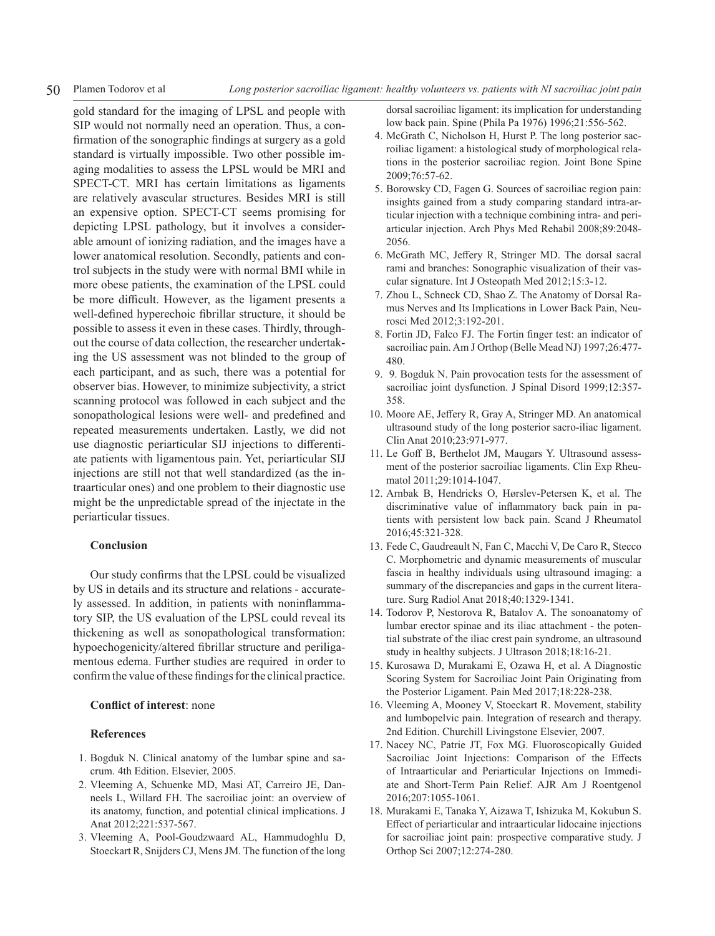gold standard for the imaging of LPSL and people with SIP would not normally need an operation. Thus, a confirmation of the sonographic findings at surgery as a gold standard is virtually impossible. Two other possible imaging modalities to assess the LPSL would be MRI and SPECT-CT. MRI has certain limitations as ligaments are relatively avascular structures. Besides MRI is still an expensive option. SPECT-CT seems promising for depicting LPSL pathology, but it involves a considerable amount of ionizing radiation, and the images have a lower anatomical resolution. Secondly, patients and control subjects in the study were with normal BMI while in more obese patients, the examination of the LPSL could be more difficult. However, as the ligament presents a well-defined hyperechoic fibrillar structure, it should be possible to assess it even in these cases. Thirdly, throughout the course of data collection, the researcher undertaking the US assessment was not blinded to the group of each participant, and as such, there was a potential for observer bias. However, to minimize subjectivity, a strict scanning protocol was followed in each subject and the sonopathological lesions were well- and predefined and repeated measurements undertaken. Lastly, we did not use diagnostic periarticular SIJ injections to differentiate patients with ligamentous pain. Yet, periarticular SIJ injections are still not that well standardized (as the intraarticular ones) and one problem to their diagnostic use might be the unpredictable spread of the injectate in the periarticular tissues.

### **Conclusion**

Our study confirms that the LPSL could be visualized by US in details and its structure and relations - accurately assessed. In addition, in patients with noninflammatory SIP, the US evaluation of the LPSL could reveal its thickening as well as sonopathological transformation: hypoechogenicity/altered fibrillar structure and periligamentous edema. Further studies are required in order to confirm the value of these findings for the clinical practice.

# **Conflict of interest**: none

# **References**

- 1. Bogduk N. Clinical anatomy of the lumbar spine and sacrum. 4th Edition. Elsevier, 2005.
- 2. Vleeming A, Schuenke MD, Masi AT, Carreiro JE, Danneels L, Willard FH. The sacroiliac joint: an overview of its anatomy, function, and potential clinical implications. J Anat 2012;221:537-567.
- 3. Vleeming A, Pool-Goudzwaard AL, Hammudoghlu D, Stoeckart R, Snijders CJ, Mens JM. The function of the long

dorsal sacroiliac ligament: its implication for understanding low back pain. Spine (Phila Pa 1976) 1996;21:556-562.

- 4. McGrath C, Nicholson H, Hurst P. The long posterior sacroiliac ligament: a histological study of morphological relations in the posterior sacroiliac region. Joint Bone Spine 2009;76:57-62.
- 5. Borowsky CD, Fagen G. Sources of sacroiliac region pain: insights gained from a study comparing standard intra-articular injection with a technique combining intra- and periarticular injection. Arch Phys Med Rehabil 2008;89:2048- 2056.
- 6. McGrath MC, Jeffery R, Stringer MD. The dorsal sacral rami and branches: Sonographic visualization of their vascular signature. Int J Osteopath Med 2012;15:3-12.
- 7. Zhou L, Schneck CD, Shao Z. The Anatomy of Dorsal Ramus Nerves and Its Implications in Lower Back Pain, Neurosci Med 2012;3:192-201.
- 8. Fortin JD, Falco FJ. The Fortin finger test: an indicator of sacroiliac pain. Am J Orthop (Belle Mead NJ) 1997;26:477- 480.
- 9. 9. Bogduk N. Pain provocation tests for the assessment of sacroiliac joint dysfunction. J Spinal Disord 1999;12:357- 358.
- 10. Moore AE, Jeffery R, Gray A, Stringer MD. An anatomical ultrasound study of the long posterior sacro-iliac ligament. Clin Anat 2010;23:971-977.
- 11. Le Goff B, Berthelot JM, Maugars Y. Ultrasound assessment of the posterior sacroiliac ligaments. Clin Exp Rheumatol 2011;29:1014-1047.
- 12. Arnbak B, Hendricks O, Hørslev-Petersen K, et al. The discriminative value of inflammatory back pain in patients with persistent low back pain. Scand J Rheumatol 2016;45:321-328.
- 13. Fede C, Gaudreault N, Fan C, Macchi V, De Caro R, Stecco C. Morphometric and dynamic measurements of muscular fascia in healthy individuals using ultrasound imaging: a summary of the discrepancies and gaps in the current literature. Surg Radiol Anat 2018;40:1329-1341.
- 14. Todorov P, Nestorova R, Batalov A. The sonoanatomy of lumbar erector spinae and its iliac attachment - the potential substrate of the iliac crest pain syndrome, an ultrasound study in healthy subjects. J Ultrason 2018;18:16-21.
- 15. Kurosawa D, Murakami E, Ozawa H, et al. A Diagnostic Scoring System for Sacroiliac Joint Pain Originating from the Posterior Ligament. Pain Med 2017;18:228-238.
- 16. Vleeming A, Mooney V, Stoeckart R. Movement, stability and lumbopelvic pain. Integration of research and therapy. 2nd Edition. Churchill Livingstone Elsevier, 2007.
- 17. Nacey NC, Patrie JT, Fox MG. Fluoroscopically Guided Sacroiliac Joint Injections: Comparison of the Effects of Intraarticular and Periarticular Injections on Immediate and Short-Term Pain Relief. AJR Am J Roentgenol 2016;207:1055-1061.
- 18. Murakami E, Tanaka Y, Aizawa T, Ishizuka M, Kokubun S. Effect of periarticular and intraarticular lidocaine injections for sacroiliac joint pain: prospective comparative study. J Orthop Sci 2007;12:274-280.